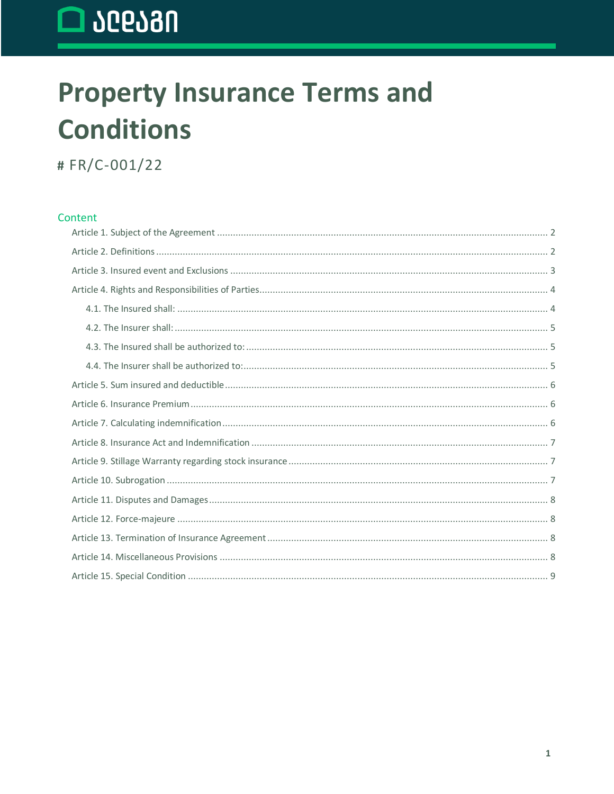# $\Box$   $\Omega$   $\Omega$   $\Omega$

### **Property Insurance Terms and Conditions**

# FR/C-001/22

#### Content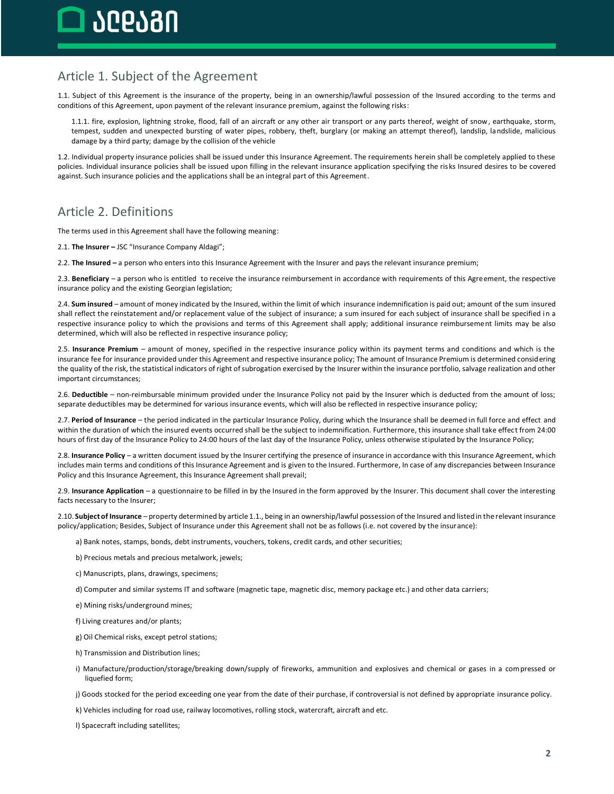### <span id="page-1-0"></span>Article 1. Subject of the Agreement

1.1. Subject of this Agreement is the insurance of the property, being in an ownership/lawful possession of the Insured according to the terms and conditions of this Agreement, upon payment of the relevant insurance premium, against the following risks:

1.1.1. fire, explosion, lightning stroke, flood, fall of an aircraft or any other air transport or any parts thereof, weight of snow, earthquake, storm, tempest, sudden and unexpected bursting of water pipes, robbery, theft, burglary (or making an attempt thereof), landslip, landslide, malicious damage by a third party; damage by the collision of the vehicle

1.2. Individual property insurance policies shall be issued under this Insurance Agreement. The requirements herein shall be completely applied to these policies. Individual insurance policies shall be issued upon filling in the relevant insurance application specifying the risks Insured desires to be covered against. Such insurance policies and the applications shall be an integral part of this Agreement.

### <span id="page-1-1"></span>Article 2. Definitions

The terms used in this Agreement shall have the following meaning:

2.1. **The Insurer –** JSC "Insurance Company Aldagi";

2.2. **The Insured –** a person who enters into this Insurance Agreement with the Insurer and pays the relevant insurance premium;

2.3. **Beneficiary** – a person who is entitled to receive the insurance reimbursement in accordance with requirements of this Agreement, the respective insurance policy and the existing Georgian legislation;

2.4. **Sum insured** – amount of money indicated by the Insured, within the limit of which insurance indemnification is paid out; amount of the sum insured shall reflect the reinstatement and/or replacement value of the subject of insurance; a sum insured for each subject of insurance shall be specified in a respective insurance policy to which the provisions and terms of this Agreement shall apply; additional insurance reimbursement limits may be also determined, which will also be reflected in respective insurance policy;

2.5. **Insurance Premium** – amount of money, specified in the respective insurance policy within its payment terms and conditions and which is the insurance fee for insurance provided under this Agreement and respective insurance policy; The amount of Insurance Premium is determined considering the quality of the risk, the statistical indicators of right of subrogation exercised by the Insurer within the insurance portfolio, salvage realization and other important circumstances;

2.6. **Deductible** – non-reimbursable minimum provided under the Insurance Policy not paid by the Insurer which is deducted from the amount of loss; separate deductibles may be determined for various insurance events, which will also be reflected in respective insurance policy;

2.7. **Period of Insurance** – the period indicated in the particular Insurance Policy, during which the Insurance shall be deemed in full force and effect and within the duration of which the insured events occurred shall be the subject to indemnification. Furthermore, this insurance shall take effect from 24:00 hours of first day of the Insurance Policy to 24:00 hours of the last day of the Insurance Policy, unless otherwise stipulated by the Insurance Policy;

2.8. **Insurance Policy** – a written document issued by the Insurer certifying the presence of insurance in accordance with this Insurance Agreement, which includes main terms and conditions of this Insurance Agreement and is given to the Insured. Furthermore, In case of any discrepancies between Insurance Policy and this Insurance Agreement, this Insurance Agreement shall prevail;

2.9. **Insurance Application** – a questionnaire to be filled in by the Insured in the form approved by the Insurer. This document shall cover the interesting facts necessary to the Insurer;

2.10. **Subject of Insurance** – property determined by article 1.1., being in an ownership/lawful possession of the Insured and listed in the relevant insurance policy/application; Besides, Subject of Insurance under this Agreement shall not be as follows (i.e. not covered by the insurance):

a) Bank notes, stamps, bonds, debt instruments, vouchers, tokens, credit cards, and other securities;

b) Precious metals and precious metalwork, jewels;

c) Manuscripts, plans, drawings, specimens;

d) Computer and similar systems IT and software (magnetic tape, magnetic disc, memory package etc.) and other data carriers;

e) Mining risks/underground mines;

f) Living creatures and/or plants;

g) Oil Chemical risks, except petrol stations;

h) Transmission and Distribution lines;

i) Manufacture/production/storage/breaking down/supply of fireworks, ammunition and explosives and chemical or gases in a compressed or liquefied form;

j) Goods stocked for the period exceeding one year from the date of their purchase, if controversial is not defined by appropriate insurance policy.

k) Vehicles including for road use, railway locomotives, rolling stock, watercraft, aircraft and etc.

l) Spacecraft including satellites;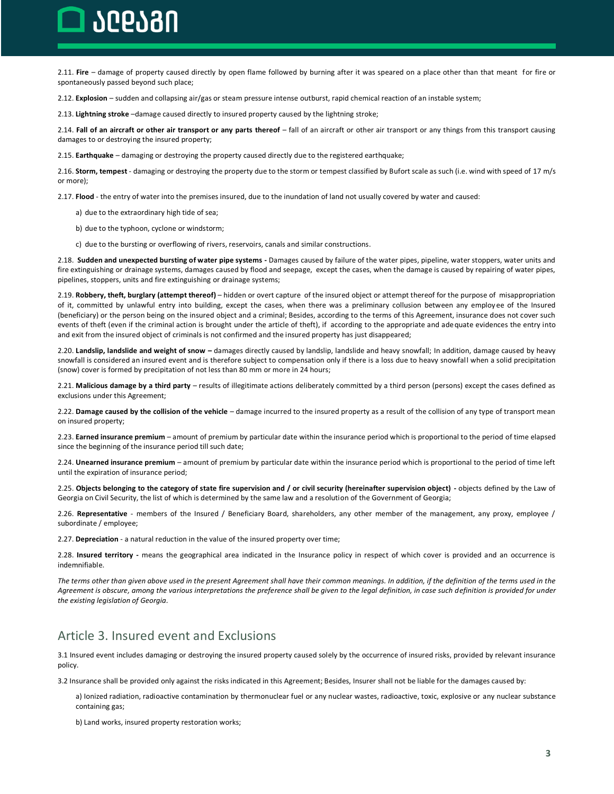## ገቦቦለብበ

2.11. **Fire** – damage of property caused directly by open flame followed by burning after it was speared on a place other than that meant for fire or spontaneously passed beyond such place;

2.12. **Explosion** – sudden and collapsing air/gas or steam pressure intense outburst, rapid chemical reaction of an instable system;

2.13. **Lightning stroke** –damage caused directly to insured property caused by the lightning stroke;

2.14. **Fall of an aircraft or other air transport or any parts thereof** – fall of an aircraft or other air transport or any things from this transport causing damages to or destroying the insured property;

2.15. **Earthquake** – damaging or destroying the property caused directly due to the registered earthquake;

2.16. **Storm, tempest** - damaging or destroying the property due to the storm or tempest classified by Bufort scale as such (i.e. wind with speed of 17 m/s or more);

2.17. **Flood** - the entry of water into the premises insured, due to the inundation of land not usually covered by water and caused:

- a) due to the extraordinary high tide of sea;
- b) due to the typhoon, cyclone or windstorm;
- c) due to the bursting or overflowing of rivers, reservoirs, canals and similar constructions.

2.18. **Sudden and unexpected bursting of water pipe systems -** Damages caused by failure of the water pipes, pipeline, water stoppers, water units and fire extinguishing or drainage systems, damages caused by flood and seepage, except the cases, when the damage is caused by repairing of water pipes, pipelines, stoppers, units and fire extinguishing or drainage systems;

2.19. **Robbery, theft, burglary (attempt thereof)** – hidden or overt capture of the insured object or attempt thereof for the purpose of misappropriation of it, committed by unlawful entry into building, except the cases, when there was a preliminary collusion between any employ ee of the Insured (beneficiary) or the person being on the insured object and a criminal; Besides, according to the terms of this Agreement, insurance does not cover such events of theft (even if the criminal action is brought under the article of theft), if according to the appropriate and adequate evidences the entry into and exit from the insured object of criminals is not confirmed and the insured property has just disappeared;

2.20. **Landslip, landslide and weight of snow –** damages directly caused by landslip, landslide and heavy snowfall; In addition, damage caused by heavy snowfall is considered an insured event and is therefore subject to compensation only if there is a loss due to heavy snowfall when a solid precipitation (snow) cover is formed by precipitation of not less than 80 mm or more in 24 hours;

2.21. **Malicious damage by a third party** – results of illegitimate actions deliberately committed by a third person (persons) except the cases defined as exclusions under this Agreement;

2.22. **Damage caused by the collision of the vehicle** – damage incurred to the insured property as a result of the collision of any type of transport mean on insured property;

2.23. **Earned insurance premium** – amount of premium by particular date within the insurance period which is proportional to the period of time elapsed since the beginning of the insurance period till such date;

2.24. **Unearned insurance premium** – amount of premium by particular date within the insurance period which is proportional to the period of time left until the expiration of insurance period;

2.25. **Objects belonging to the category of state fire supervision and / or civil security (hereinafter supervision object) -** objects defined by the Law of Georgia on Civil Security, the list of which is determined by the same law and a resolution of the Government of Georgia;

2.26. **Representative** - members of the Insured / Beneficiary Board, shareholders, any other member of the management, any proxy, employee / subordinate / employee;

2.27. **Depreciation** - a natural reduction in the value of the insured property over time;

2.28. **Insured territory -** means the geographical area indicated in the Insurance policy in respect of which cover is provided and an occurrence is indemnifiable.

*The terms other than given above used in the present Agreement shall have their common meanings. In addition, if the definition of the terms used in the Agreement is obscure, among the various interpretations the preference shall be given to the legal definition, in case such definition is provided for under the existing legislation of Georgia.*

### <span id="page-2-0"></span>Article 3. Insured event and Exclusions

3.1 Insured event includes damaging or destroying the insured property caused solely by the occurrence of insured risks, provided by relevant insurance policy.

3.2 Insurance shall be provided only against the risks indicated in this Agreement; Besides, Insurer shall not be liable for the damages caused by:

a) Ionized radiation, radioactive contamination by thermonuclear fuel or any nuclear wastes, radioactive, toxic, explosive or any nuclear substance containing gas;

b) Land works, insured property restoration works;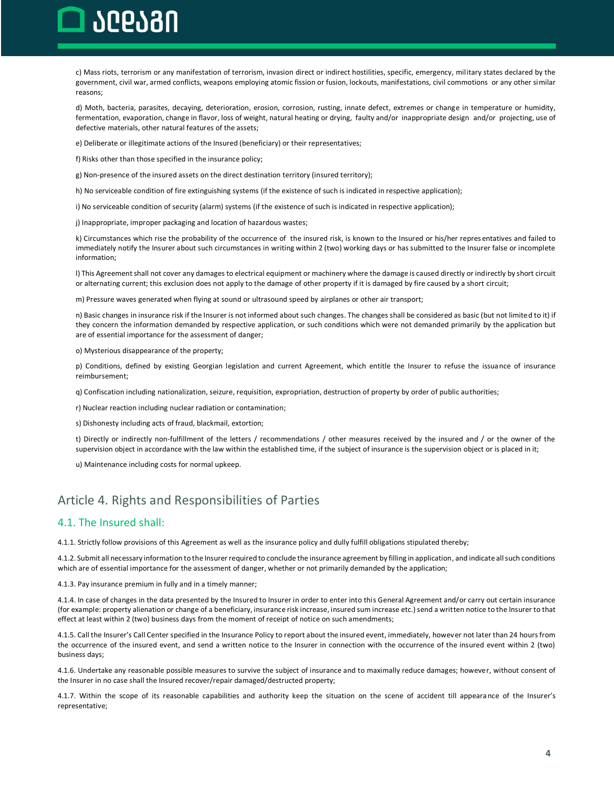## heran

c) Mass riots, terrorism or any manifestation of terrorism, invasion direct or indirect hostilities, specific, emergency, military states declared by the government, civil war, armed conflicts, weapons employing atomic fission or fusion, lockouts, manifestations, civil commotions or any other similar reasons;

d) Moth, bacteria, parasites, decaying, deterioration, erosion, corrosion, rusting, innate defect, extremes or change in temperature or humidity, fermentation, evaporation, change in flavor, loss of weight, natural heating or drying, faulty and/or inappropriate design and/or projecting, use of defective materials, other natural features of the assets;

e) Deliberate or illegitimate actions of the Insured (beneficiary) or their representatives;

f) Risks other than those specified in the insurance policy;

g) Non-presence of the insured assets on the direct destination territory (insured territory);

h) No serviceable condition of fire extinguishing systems (if the existence of such is indicated in respective application);

i) No serviceable condition of security (alarm) systems (if the existence of such is indicated in respective application);

j) Inappropriate, improper packaging and location of hazardous wastes;

k) Circumstances which rise the probability of the occurrence of the insured risk, is known to the Insured or his/her repres entatives and failed to immediately notify the Insurer about such circumstances in writing within 2 (two) working days or has submitted to the Insurer false or incomplete information;

l) This Agreement shall not cover any damages to electrical equipment or machinery where the damage is caused directly or indirectly by short circuit or alternating current; this exclusion does not apply to the damage of other property if it is damaged by fire caused by a short circuit;

m) Pressure waves generated when flying at sound or ultrasound speed by airplanes or other air transport;

n) Basic changes in insurance risk if the Insurer is not informed about such changes. The changes shall be considered as basic (but not limited to it) if they concern the information demanded by respective application, or such conditions which were not demanded primarily by the application but are of essential importance for the assessment of danger;

o) Mysterious disappearance of the property;

p) Conditions, defined by existing Georgian legislation and current Agreement, which entitle the Insurer to refuse the issuance of insurance reimbursement;

q) Confiscation including nationalization, seizure, requisition, expropriation, destruction of property by order of public authorities;

r) Nuclear reaction including nuclear radiation or contamination;

s) Dishonesty including acts of fraud, blackmail, extortion;

t) Directly or indirectly non-fulfillment of the letters / recommendations / other measures received by the insured and / or the owner of the supervision object in accordance with the law within the established time, if the subject of insurance is the supervision object or is placed in it;

u) Maintenance including costs for normal upkeep.

### <span id="page-3-0"></span>Article 4. Rights and Responsibilities of Parties

#### <span id="page-3-1"></span>4.1. The Insured shall:

4.1.1. Strictly follow provisions of this Agreement as well as the insurance policy and dully fulfill obligations stipulated thereby;

4.1.2. Submit all necessary information to the Insurer required to conclude the insurance agreement by filling in application, and indicate all such conditions which are of essential importance for the assessment of danger, whether or not primarily demanded by the application;

4.1.3. Pay insurance premium in fully and in a timely manner;

4.1.4. In case of changes in the data presented by the Insured to Insurer in order to enter into this General Agreement and/or carry out certain insurance (for example: property alienation or change of a beneficiary, insurance risk increase, insured sum increase etc.) send a written notice to the Insurer to that effect at least within 2 (two) business days from the moment of receipt of notice on such amendments;

4.1.5. Call the Insurer's Call Center specified in the Insurance Policy to report about the insured event, immediately, however not later than 24 hours from the occurrence of the insured event, and send a written notice to the Insurer in connection with the occurrence of the insured event within 2 (two) business days;

4.1.6. Undertake any reasonable possible measures to survive the subject of insurance and to maximally reduce damages; however, without consent of the Insurer in no case shall the Insured recover/repair damaged/destructed property;

4.1.7. Within the scope of its reasonable capabilities and authority keep the situation on the scene of accident till appearance of the Insurer's representative;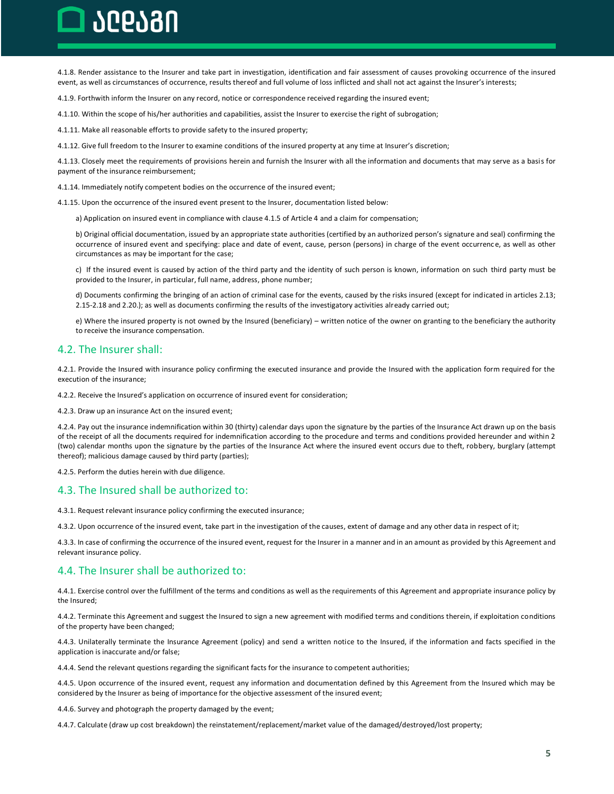## ገቦቦለብበ

4.1.8. Render assistance to the Insurer and take part in investigation, identification and fair assessment of causes provoking occurrence of the insured event, as well as circumstances of occurrence, results thereof and full volume of loss inflicted and shall not act against the Insurer's interests;

4.1.9. Forthwith inform the Insurer on any record, notice or correspondence received regarding the insured event;

4.1.10. Within the scope of his/her authorities and capabilities, assist the Insurer to exercise the right of subrogation;

4.1.11. Make all reasonable efforts to provide safety to the insured property;

4.1.12. Give full freedom to the Insurer to examine conditions of the insured property at any time at Insurer's discretion;

4.1.13. Closely meet the requirements of provisions herein and furnish the Insurer with all the information and documents that may serve as a basis for payment of the insurance reimbursement;

4.1.14. Immediately notify competent bodies on the occurrence of the insured event;

4.1.15. Upon the occurrence of the insured event present to the Insurer, documentation listed below:

a) Application on insured event in compliance with clause 4.1.5 of Article 4 and a claim for compensation;

b) Original official documentation, issued by an appropriate state authorities (certified by an authorized person's signature and seal) confirming the occurrence of insured event and specifying: place and date of event, cause, person (persons) in charge of the event occurrenc e, as well as other circumstances as may be important for the case;

c) If the insured event is caused by action of the third party and the identity of such person is known, information on such third party must be provided to the Insurer, in particular, full name, address, phone number;

d) Documents confirming the bringing of an action of criminal case for the events, caused by the risks insured (except for indicated in articles 2.13; 2.15-2.18 and 2.20.); as well as documents confirming the results of the investigatory activities already carried out;

e) Where the insured property is not owned by the Insured (beneficiary) – written notice of the owner on granting to the beneficiary the authority to receive the insurance compensation.

#### <span id="page-4-0"></span>4.2. The Insurer shall:

4.2.1. Provide the Insured with insurance policy confirming the executed insurance and provide the Insured with the application form required for the execution of the insurance;

4.2.2. Receive the Insured's application on occurrence of insured event for consideration;

4.2.3. Draw up an insurance Act on the insured event;

4.2.4. Pay out the insurance indemnification within 30 (thirty) calendar days upon the signature by the parties of the Insurance Act drawn up on the basis of the receipt of all the documents required for indemnification according to the procedure and terms and conditions provided hereunder and within 2 (two) calendar months upon the signature by the parties of the Insurance Act where the insured event occurs due to theft, robbery, burglary (attempt thereof); malicious damage caused by third party (parties);

4.2.5. Perform the duties herein with due diligence.

#### <span id="page-4-1"></span>4.3. The Insured shall be authorized to:

4.3.1. Request relevant insurance policy confirming the executed insurance;

4.3.2. Upon occurrence of the insured event, take part in the investigation of the causes, extent of damage and any other data in respect of it;

4.3.3. In case of confirming the occurrence of the insured event, request for the Insurer in a manner and in an amount as provided by this Agreement and relevant insurance policy.

#### <span id="page-4-2"></span>4.4. The Insurer shall be authorized to:

4.4.1. Exercise control over the fulfillment of the terms and conditions as well as the requirements of this Agreement and appropriate insurance policy by the Insured;

4.4.2. Terminate this Agreement and suggest the Insured to sign a new agreement with modified terms and conditions therein, if exploitation conditions of the property have been changed;

4.4.3. Unilaterally terminate the Insurance Agreement (policy) and send a written notice to the Insured, if the information and facts specified in the application is inaccurate and/or false;

4.4.4. Send the relevant questions regarding the significant facts for the insurance to competent authorities;

4.4.5. Upon occurrence of the insured event, request any information and documentation defined by this Agreement from the Insured which may be considered by the Insurer as being of importance for the objective assessment of the insured event;

4.4.6. Survey and photograph the property damaged by the event;

4.4.7. Calculate (draw up cost breakdown) the reinstatement/replacement/market value of the damaged/destroyed/lost property;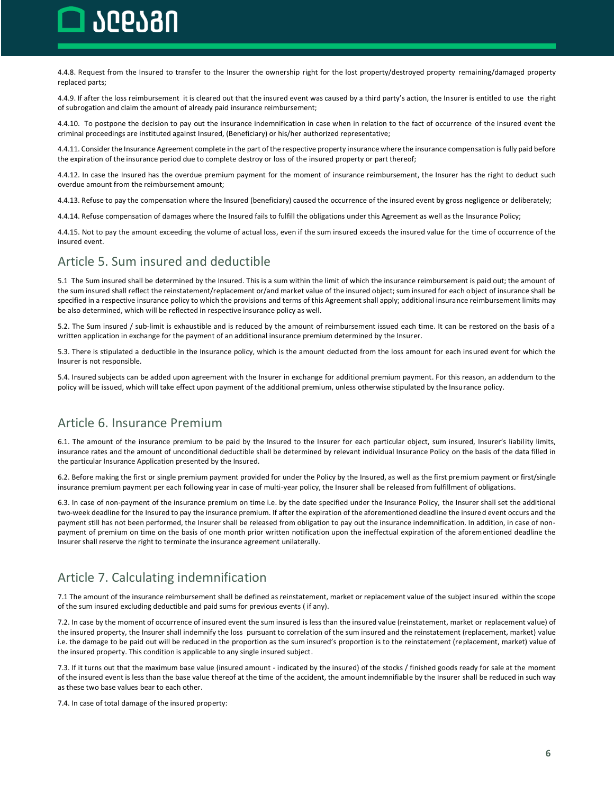## hephan

4.4.8. Request from the Insured to transfer to the Insurer the ownership right for the lost property/destroyed property remaining/damaged property replaced parts;

4.4.9. If after the loss reimbursement it is cleared out that the insured event was caused by a third party's action, the Insurer is entitled to use the right of subrogation and claim the amount of already paid insurance reimbursement;

4.4.10. To postpone the decision to pay out the insurance indemnification in case when in relation to the fact of occurrence of the insured event the criminal proceedings are instituted against Insured, (Beneficiary) or his/her authorized representative;

4.4.11. Consider the Insurance Agreement complete in the part of the respective property insurance where the insurance compensation is fully paid before the expiration of the insurance period due to complete destroy or loss of the insured property or part thereof;

4.4.12. In case the Insured has the overdue premium payment for the moment of insurance reimbursement, the Insurer has the right to deduct such overdue amount from the reimbursement amount;

4.4.13. Refuse to pay the compensation where the Insured (beneficiary) caused the occurrence of the insured event by gross negligence or deliberately;

4.4.14. Refuse compensation of damages where the Insured fails to fulfill the obligations under this Agreement as well as the Insurance Policy;

4.4.15. Not to pay the amount exceeding the volume of actual loss, even if the sum insured exceeds the insured value for the time of occurrence of the insured event.

### <span id="page-5-0"></span>Article 5. Sum insured and deductible

5.1 The Sum insured shall be determined by the Insured. This is a sum within the limit of which the insurance reimbursement is paid out; the amount of the sum insured shall reflect the reinstatement/replacement or/and market value of the insured object; sum insured for each object of insurance shall be specified in a respective insurance policy to which the provisions and terms of this Agreement shall apply; additional insurance reimbursement limits may be also determined, which will be reflected in respective insurance policy as well.

5.2. The Sum insured / sub-limit is exhaustible and is reduced by the amount of reimbursement issued each time. It can be restored on the basis of a written application in exchange for the payment of an additional insurance premium determined by the Insurer.

5.3. There is stipulated a deductible in the Insurance policy, which is the amount deducted from the loss amount for each insured event for which the Insurer is not responsible.

5.4. Insured subjects can be added upon agreement with the Insurer in exchange for additional premium payment. For this reason, an addendum to the policy will be issued, which will take effect upon payment of the additional premium, unless otherwise stipulated by the Insurance policy.

### <span id="page-5-1"></span>Article 6. Insurance Premium

6.1. The amount of the insurance premium to be paid by the Insured to the Insurer for each particular object, sum insured, Insurer's liability limits, insurance rates and the amount of unconditional deductible shall be determined by relevant individual Insurance Policy on the basis of the data filled in the particular Insurance Application presented by the Insured.

6.2. Before making the first or single premium payment provided for under the Policy by the Insured, as well as the first premium payment or first/single insurance premium payment per each following year in case of multi-year policy, the Insurer shall be released from fulfillment of obligations.

6.3. In case of non-payment of the insurance premium on time i.e. by the date specified under the Insurance Policy, the Insurer shall set the additional two-week deadline for the Insured to pay the insurance premium. If after the expiration of the aforementioned deadline the insured event occurs and the payment still has not been performed, the Insurer shall be released from obligation to pay out the insurance indemnification. In addition, in case of nonpayment of premium on time on the basis of one month prior written notification upon the ineffectual expiration of the aforementioned deadline the Insurer shall reserve the right to terminate the insurance agreement unilaterally.

### <span id="page-5-2"></span>Article 7. Calculating indemnification

7.1 The amount of the insurance reimbursement shall be defined as reinstatement, market or replacement value of the subject insured within the scope of the sum insured excluding deductible and paid sums for previous events ( if any).

7.2. In case by the moment of occurrence of insured event the sum insured is less than the insured value (reinstatement, market or replacement value) of the insured property, the Insurer shall indemnify the loss pursuant to correlation of the sum insured and the reinstatement (replacement, market) value i.e. the damage to be paid out will be reduced in the proportion as the sum insured's proportion is to the reinstatement (replacement, market) value of the insured property. This condition is applicable to any single insured subject.

7.3. If it turns out that the maximum base value (insured amount - indicated by the insured) of the stocks / finished goods ready for sale at the moment of the insured event is less than the base value thereof at the time of the accident, the amount indemnifiable by the Insurer shall be reduced in such way as these two base values bear to each other.

7.4. In case of total damage of the insured property: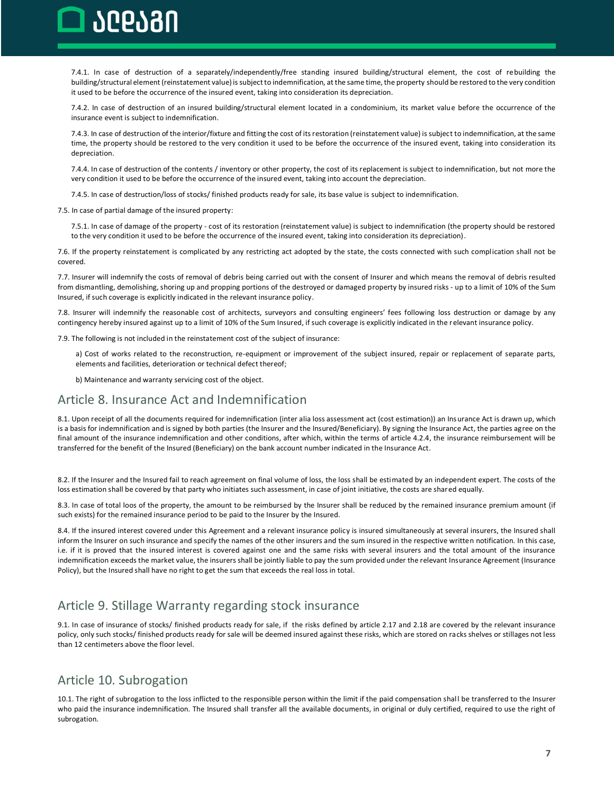ገቦቦሪዝበ

7.4.1. In case of destruction of a separately/independently/free standing insured building/structural element, the cost of rebuilding the building/structural element (reinstatement value) is subject to indemnification, at the same time, the property should be restored to the very condition it used to be before the occurrence of the insured event, taking into consideration its depreciation.

7.4.2. In case of destruction of an insured building/structural element located in a condominium, its market value before the occurrence of the insurance event is subject to indemnification.

7.4.3. In case of destruction of the interior/fixture and fitting the cost of its restoration (reinstatement value) is subject to indemnification, at the same time, the property should be restored to the very condition it used to be before the occurrence of the insured event, taking into consideration its depreciation.

7.4.4. In case of destruction of the contents / inventory or other property, the cost of its replacement is subject to indemnification, but not more the very condition it used to be before the occurrence of the insured event, taking into account the depreciation.

7.4.5. In case of destruction/loss of stocks/ finished products ready for sale, its base value is subject to indemnification.

7.5. In case of partial damage of the insured property:

7.5.1. In case of damage of the property - cost of its restoration (reinstatement value) is subject to indemnification (the property should be restored to the very condition it used to be before the occurrence of the insured event, taking into consideration its depreciation).

7.6. If the property reinstatement is complicated by any restricting act adopted by the state, the costs connected with such complication shall not be covered.

7.7. Insurer will indemnify the costs of removal of debris being carried out with the consent of Insurer and which means the removal of debris resulted from dismantling, demolishing, shoring up and propping portions of the destroyed or damaged property by insured risks - up to a limit of 10% of the Sum Insured, if such coverage is explicitly indicated in the relevant insurance policy.

7.8. Insurer will indemnify the reasonable cost of architects, surveyors and consulting engineers' fees following loss destruction or damage by any contingency hereby insured against up to a limit of 10% of the Sum Insured, if such coverage is explicitly indicated in the r elevant insurance policy.

7.9. The following is not included in the reinstatement cost of the subject of insurance:

a) Cost of works related to the reconstruction, re-equipment or improvement of the subject insured, repair or replacement of separate parts, elements and facilities, deterioration or technical defect thereof;

b) Maintenance and warranty servicing cost of the object.

### <span id="page-6-0"></span>Article 8. Insurance Act and Indemnification

8.1. Upon receipt of all the documents required for indemnification (inter alia loss assessment act (cost estimation)) an Insurance Act is drawn up, which is a basis for indemnification and is signed by both parties (the Insurer and the Insured/Beneficiary). By signing the Insurance Act, the parties agree on the final amount of the insurance indemnification and other conditions, after which, within the terms of article 4.2.4, the insurance reimbursement will be transferred for the benefit of the Insured (Beneficiary) on the bank account number indicated in the Insurance Act.

8.2. If the Insurer and the Insured fail to reach agreement on final volume of loss, the loss shall be estimated by an independent expert. The costs of the loss estimation shall be covered by that party who initiates such assessment, in case of joint initiative, the costs are shared equally.

8.3. In case of total loos of the property, the amount to be reimbursed by the Insurer shall be reduced by the remained insurance premium amount (if such exists) for the remained insurance period to be paid to the Insurer by the Insured.

8.4. If the insured interest covered under this Agreement and a relevant insurance policy is insured simultaneously at several insurers, the Insured shall inform the Insurer on such insurance and specify the names of the other insurers and the sum insured in the respective written notification. In this case, i.e. if it is proved that the insured interest is covered against one and the same risks with several insurers and the total amount of the insurance indemnification exceeds the market value, the insurers shall be jointly liable to pay the sum provided under the relevant Insurance Agreement (Insurance Policy), but the Insured shall have no right to get the sum that exceeds the real loss in total.

### <span id="page-6-1"></span>Article 9. Stillage Warranty regarding stock insurance

9.1. In case of insurance of stocks/ finished products ready for sale, if the risks defined by article 2.17 and 2.18 are covered by the relevant insurance policy, only such stocks/ finished products ready for sale will be deemed insured against these risks, which are stored on racks shelves or stillages not less than 12 centimeters above the floor level.

### <span id="page-6-2"></span>Article 10. Subrogation

10.1. The right of subrogation to the loss inflicted to the responsible person within the limit if the paid compensation shall be transferred to the Insurer who paid the insurance indemnification. The Insured shall transfer all the available documents, in original or duly certified, required to use the right of subrogation.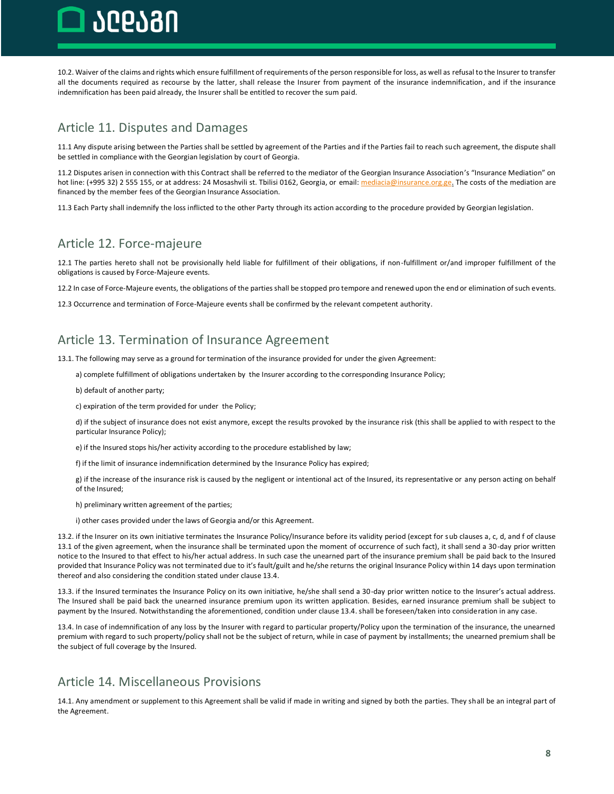

10.2. Waiver of the claims and rights which ensure fulfillment of requirements of the person responsible for loss, as well as refusal to the Insurer to transfer all the documents required as recourse by the latter, shall release the Insurer from payment of the insurance indemnification, and if the insurance indemnification has been paid already, the Insurer shall be entitled to recover the sum paid.

### <span id="page-7-0"></span>Article 11. Disputes and Damages

11.1 Any dispute arising between the Parties shall be settled by agreement of the Parties and if the Parties fail to reach such agreement, the dispute shall be settled in compliance with the Georgian legislation by court of Georgia.

11.2 Disputes arisen in connection with this Contract shall be referred to the mediator of the Georgian Insurance Association's "Insurance Mediation" on hot line: (+995 32) 2 555 155, or at address: 24 Mosashvili st. Tbilisi 0162, Georgia, or email[: mediacia@insurance.org.ge.](mailto:mediacia@insurance.org.ge) The costs of the mediation are financed by the member fees of the Georgian Insurance Association.

11.3 Each Party shall indemnify the loss inflicted to the other Party through its action according to the procedure provided by Georgian legislation.

### <span id="page-7-1"></span>Article 12. Force-majeure

12.1 The parties hereto shall not be provisionally held liable for fulfillment of their obligations, if non-fulfillment or/and improper fulfillment of the obligations is caused by Force-Majeure events.

12.2 In case of Force-Majeure events, the obligations of the parties shall be stopped pro tempore and renewed upon the end or elimination of such events.

12.3 Occurrence and termination of Force-Majeure events shall be confirmed by the relevant competent authority.

### <span id="page-7-2"></span>Article 13. Termination of Insurance Agreement

13.1. The following may serve as a ground for termination of the insurance provided for under the given Agreement:

a) complete fulfillment of obligations undertaken by the Insurer according to the corresponding Insurance Policy;

b) default of another party;

c) expiration of the term provided for under the Policy;

d) if the subject of insurance does not exist anymore, except the results provoked by the insurance risk (this shall be applied to with respect to the particular Insurance Policy);

e) if the Insured stops his/her activity according to the procedure established by law;

f) if the limit of insurance indemnification determined by the Insurance Policy has expired;

g) if the increase of the insurance risk is caused by the negligent or intentional act of the Insured, its representative or any person acting on behalf of the Insured;

h) preliminary written agreement of the parties;

i) other cases provided under the laws of Georgia and/or this Agreement.

13.2. if the Insurer on its own initiative terminates the Insurance Policy/Insurance before its validity period (except for sub clauses a, c, d, and f of clause 13.1 of the given agreement, when the insurance shall be terminated upon the moment of occurrence of such fact), it shall send a 30-day prior written notice to the Insured to that effect to his/her actual address. In such case the unearned part of the insurance premium shall be paid back to the Insured provided that Insurance Policy was not terminated due to it's fault/guilt and he/she returns the original Insurance Policy within 14 days upon termination thereof and also considering the condition stated under clause 13.4.

13.3. if the Insured terminates the Insurance Policy on its own initiative, he/she shall send a 30-day prior written notice to the Insurer's actual address. The Insured shall be paid back the unearned insurance premium upon its written application. Besides, earned insurance premium shall be subject to payment by the Insured. Notwithstanding the aforementioned, condition under clause 13.4. shall be foreseen/taken into consideration in any case.

13.4. In case of indemnification of any loss by the Insurer with regard to particular property/Policy upon the termination of the insurance, the unearned premium with regard to such property/policy shall not be the subject of return, while in case of payment by installments; the unearned premium shall be the subject of full coverage by the Insured.

### <span id="page-7-3"></span>Article 14. Miscellaneous Provisions

14.1. Any amendment or supplement to this Agreement shall be valid if made in writing and signed by both the parties. They shall be an integral part of the Agreement.